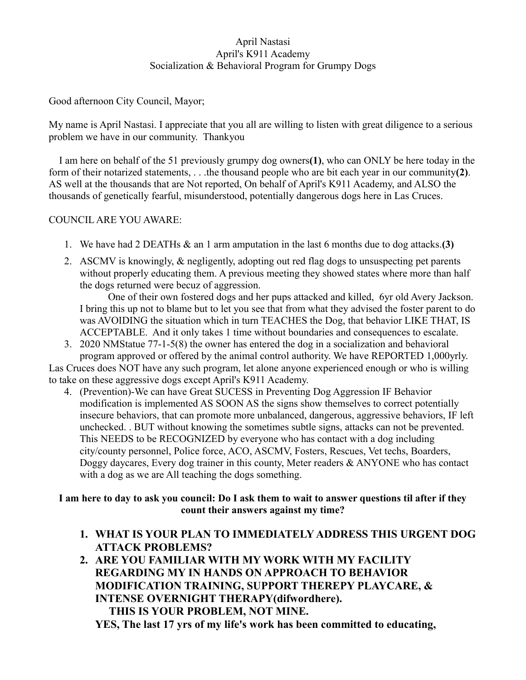# April Nastasi April's K911 Academy Socialization & Behavioral Program for Grumpy Dogs

Good afternoon City Council, Mayor;

My name is April Nastasi. I appreciate that you all are willing to listen with great diligence to a serious problem we have in our community. Thankyou

 I am here on behalf of the 51 previously grumpy dog owners**(1)**, who can ONLY be here today in the form of their notarized statements, . . .the thousand people who are bit each year in our community**(2)**. AS well at the thousands that are Not reported, On behalf of April's K911 Academy, and ALSO the thousands of genetically fearful, misunderstood, potentially dangerous dogs here in Las Cruces.

# COUNCIL ARE YOU AWARE:

- 1. We have had 2 DEATHs & an 1 arm amputation in the last 6 months due to dog attacks.**(3)**
- 2. ASCMV is knowingly, & negligently, adopting out red flag dogs to unsuspecting pet parents without properly educating them. A previous meeting they showed states where more than half the dogs returned were becuz of aggression.

 One of their own fostered dogs and her pups attacked and killed, 6yr old Avery Jackson. I bring this up not to blame but to let you see that from what they advised the foster parent to do was AVOIDING the situation which in turn TEACHES the Dog, that behavior LIKE THAT, IS ACCEPTABLE. And it only takes 1 time without boundaries and consequences to escalate.

3. 2020 NMStatue 77-1-5(8) the owner has entered the dog in a socialization and behavioral program approved or offered by the animal control authority. We have REPORTED 1,000yrly.

Las Cruces does NOT have any such program, let alone anyone experienced enough or who is willing to take on these aggressive dogs except April's K911 Academy.

4. (Prevention)-We can have Great SUCESS in Preventing Dog Aggression IF Behavior modification is implemented AS SOON AS the signs show themselves to correct potentially insecure behaviors, that can promote more unbalanced, dangerous, aggressive behaviors, IF left unchecked. . BUT without knowing the sometimes subtle signs, attacks can not be prevented. This NEEDS to be RECOGNIZED by everyone who has contact with a dog including city/county personnel, Police force, ACO, ASCMV, Fosters, Rescues, Vet techs, Boarders, Doggy daycares, Every dog trainer in this county, Meter readers & ANYONE who has contact with a dog as we are All teaching the dogs something.

# **I am here to day to ask you council: Do I ask them to wait to answer questions til after if they count their answers against my time?**

- **1. WHAT IS YOUR PLAN TO IMMEDIATELY ADDRESS THIS URGENT DOG ATTACK PROBLEMS?**
- **2. ARE YOU FAMILIAR WITH MY WORK WITH MY FACILITY REGARDING MY IN HANDS ON APPROACH TO BEHAVIOR MODIFICATION TRAINING, SUPPORT THEREPY PLAYCARE, & INTENSE OVERNIGHT THERAPY(difwordhere). THIS IS YOUR PROBLEM, NOT MINE.**

**YES, The last 17 yrs of my life's work has been committed to educating,**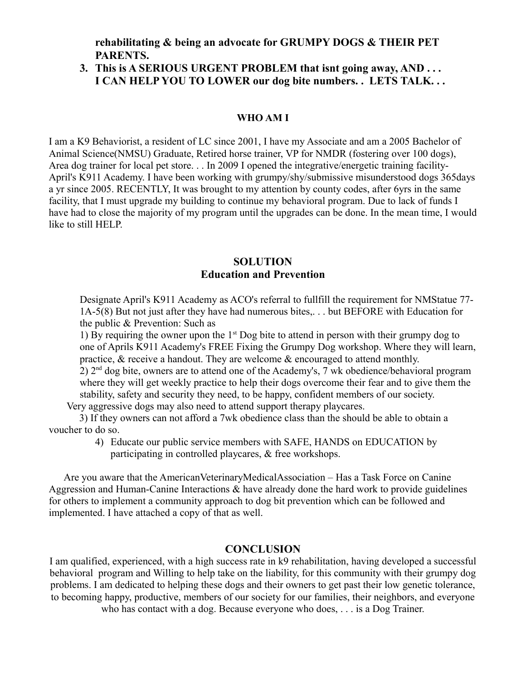**rehabilitating & being an advocate for GRUMPY DOGS & THEIR PET PARENTS.** 

# **3. This is A SERIOUS URGENT PROBLEM that isnt going away, AND . . . I CAN HELP YOU TO LOWER our dog bite numbers. . LETS TALK. . .**

#### **WHO AM I**

I am a K9 Behaviorist, a resident of LC since 2001, I have my Associate and am a 2005 Bachelor of Animal Science(NMSU) Graduate, Retired horse trainer, VP for NMDR (fostering over 100 dogs), Area dog trainer for local pet store. . . In 2009 I opened the integrative/energetic training facility-April's K911 Academy. I have been working with grumpy/shy/submissive misunderstood dogs 365days a yr since 2005. RECENTLY, It was brought to my attention by county codes, after 6yrs in the same facility, that I must upgrade my building to continue my behavioral program. Due to lack of funds I have had to close the majority of my program until the upgrades can be done. In the mean time, I would like to still HELP.

## **SOLUTION Education and Prevention**

Designate April's K911 Academy as ACO's referral to fullfill the requirement for NMStatue 77- 1A-5(8) But not just after they have had numerous bites,. . . but BEFORE with Education for the public & Prevention: Such as

1) By requiring the owner upon the  $1<sup>st</sup>$  Dog bite to attend in person with their grumpy dog to one of Aprils K911 Academy's FREE Fixing the Grumpy Dog workshop. Where they will learn, practice, & receive a handout. They are welcome & encouraged to attend monthly. 2) 2nd dog bite, owners are to attend one of the Academy's, 7 wk obedience/behavioral program where they will get weekly practice to help their dogs overcome their fear and to give them the stability, safety and security they need, to be happy, confident members of our society.

Very aggressive dogs may also need to attend support therapy playcares.

3) If they owners can not afford a 7wk obedience class than the should be able to obtain a voucher to do so.

> 4) Educate our public service members with SAFE, HANDS on EDUCATION by participating in controlled playcares, & free workshops.

 Are you aware that the AmericanVeterinaryMedicalAssociation – Has a Task Force on Canine Aggression and Human-Canine Interactions  $\&$  have already done the hard work to provide guidelines for others to implement a community approach to dog bit prevention which can be followed and implemented. I have attached a copy of that as well.

### **CONCLUSION**

I am qualified, experienced, with a high success rate in k9 rehabilitation, having developed a successful behavioral program and Willing to help take on the liability, for this community with their grumpy dog problems. I am dedicated to helping these dogs and their owners to get past their low genetic tolerance, to becoming happy, productive, members of our society for our families, their neighbors, and everyone who has contact with a dog. Because everyone who does, . . . is a Dog Trainer.